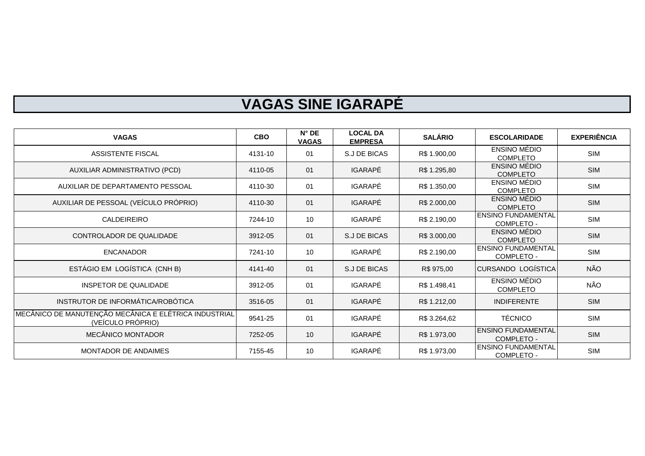## **VAGAS SINE IGARAPÉ**

| <b>VAGAS</b>                                                               | <b>CBO</b> | $N^{\circ}$ DE<br><b>VAGAS</b> | <b>LOCAL DA</b><br><b>EMPRESA</b> | <b>SALÁRIO</b> | <b>ESCOLARIDADE</b>                     | <b>EXPERIÊNCIA</b> |
|----------------------------------------------------------------------------|------------|--------------------------------|-----------------------------------|----------------|-----------------------------------------|--------------------|
| ASSISTENTE FISCAL                                                          | 4131-10    | 01                             | S.J DE BICAS                      | R\$ 1.900,00   | <b>ENSINO MÉDIO</b><br><b>COMPLETO</b>  | <b>SIM</b>         |
| AUXILIAR ADMINISTRATIVO (PCD)                                              | 4110-05    | 01                             | <b>IGARAPÉ</b>                    | R\$ 1.295,80   | ENSINO MÉDIO<br><b>COMPLETO</b>         | <b>SIM</b>         |
| AUXILIAR DE DEPARTAMENTO PESSOAL                                           | 4110-30    | 01                             | <b>IGARAPÉ</b>                    | R\$ 1.350,00   | ENSINO MÉDIO<br><b>COMPLETO</b>         | <b>SIM</b>         |
| AUXILIAR DE PESSOAL (VEÍCULO PRÓPRIO)                                      | 4110-30    | 01                             | <b>IGARAPÉ</b>                    | R\$ 2.000,00   | ENSINO MÉDIO<br><b>COMPLETO</b>         | <b>SIM</b>         |
| CALDEIREIRO                                                                | 7244-10    | 10                             | <b>IGARAPÉ</b>                    | R\$ 2.190,00   | <b>ENSINO FUNDAMENTAL</b><br>COMPLETO - | <b>SIM</b>         |
| CONTROLADOR DE QUALIDADE                                                   | 3912-05    | 01                             | S.J DE BICAS                      | R\$ 3.000,00   | ENSINO MÉDIO<br><b>COMPLETO</b>         | <b>SIM</b>         |
| <b>ENCANADOR</b>                                                           | 7241-10    | 10                             | IGARAPÉ                           | R\$ 2.190,00   | <b>ENSINO FUNDAMENTAL</b><br>COMPLETO - | <b>SIM</b>         |
| ESTÁGIO EM LOGÍSTICA (CNH B)                                               | 4141-40    | 01                             | S.J DE BICAS                      | R\$ 975,00     | <b>CURSANDO LOGÍSTICA</b>               | NÃO                |
| INSPETOR DE QUALIDADE                                                      | 3912-05    | 01                             | <b>IGARAPÉ</b>                    | R\$ 1.498,41   | <b>ENSINO MÉDIO</b><br><b>COMPLETO</b>  | NÃO                |
| INSTRUTOR DE INFORMÁTICA/ROBÓTICA                                          | 3516-05    | 01                             | <b>IGARAPÉ</b>                    | R\$ 1.212,00   | <b>INDIFERENTE</b>                      | <b>SIM</b>         |
| MECÂNICO DE MANUTENÇÃO MECÂNICA E ELÉTRICA INDUSTRIAL<br>(VEÍCULO PRÓPRIO) | 9541-25    | 01                             | <b>IGARAPÉ</b>                    | R\$ 3.264,62   | <b>TÉCNICO</b>                          | <b>SIM</b>         |
| <b>MECÂNICO MONTADOR</b>                                                   | 7252-05    | 10                             | <b>IGARAPÉ</b>                    | R\$ 1.973,00   | <b>ENSINO FUNDAMENTAL</b><br>COMPLETO - | <b>SIM</b>         |
| <b>MONTADOR DE ANDAIMES</b>                                                | 7155-45    | 10                             | <b>IGARAPÉ</b>                    | R\$ 1.973,00   | <b>ENSINO FUNDAMENTAL</b><br>COMPLETO - | <b>SIM</b>         |